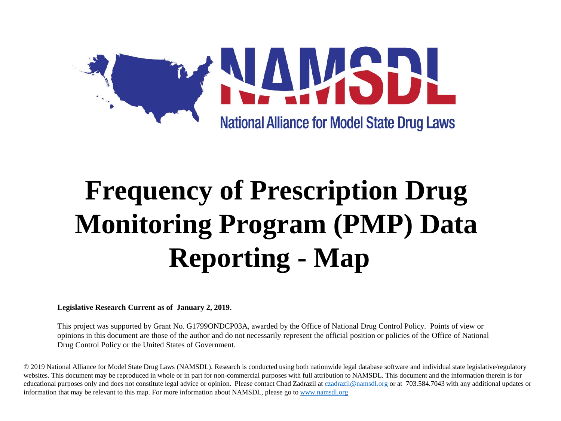

## **Frequency of Prescription Drug Monitoring Program (PMP) Data Reporting - Map**

**Legislative Research Current as of January 2, 2019.**

This project was supported by Grant No. G1799ONDCP03A, awarded by the Office of National Drug Control Policy. Points of view or opinions in this document are those of the author and do not necessarily represent the official position or policies of the Office of National Drug Control Policy or the United States of Government.

© 2019 National Alliance for Model State Drug Laws (NAMSDL). Research is conducted using both nationwide legal database software and individual state legislative/regulatory websites. This document may be reproduced in whole or in part for non-commercial purposes with full attribution to NAMSDL. This document and the information therein is for educational purposes only and does not constitute legal advice or opinion. Please contact Chad Zadrazil at [czadrazil@namsdl.org](mailto:czadrazil@namsdl.org) or at 703.584.7043 with any additional updates or information that may be relevant to this map. For more information about NAMSDL, please go to [www.namsdl.org](http://www.namsdl.org/)